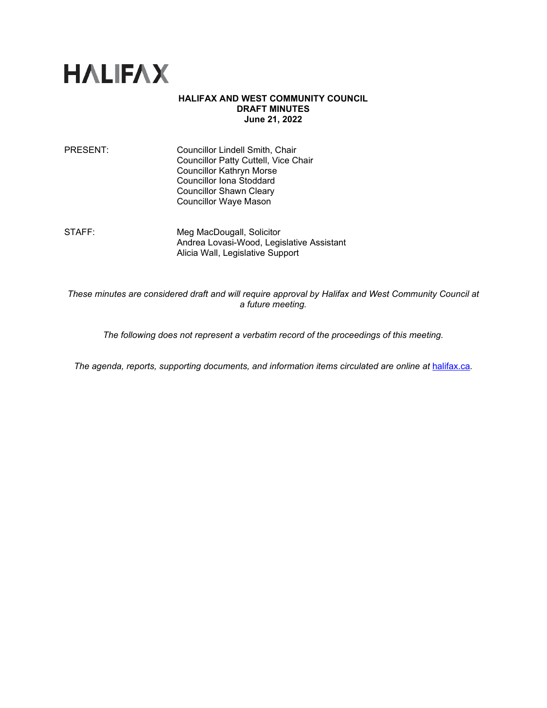

### **HALIFAX AND WEST COMMUNITY COUNCIL DRAFT MINUTES June 21, 2022**

PRESENT: Councillor Lindell Smith, Chair Councillor Patty Cuttell, Vice Chair Councillor Kathryn Morse Councillor Iona Stoddard Councillor Shawn Cleary Councillor Waye Mason

STAFF: Meg MacDougall, Solicitor Andrea Lovasi-Wood, Legislative Assistant Alicia Wall, Legislative Support

*These minutes are considered draft and will require approval by Halifax and West Community Council at a future meeting.*

*The following does not represent a verbatim record of the proceedings of this meeting.*

*The agenda, reports, supporting documents, and information items circulated are online at [halifax.ca](http://www.halifax.ca/).*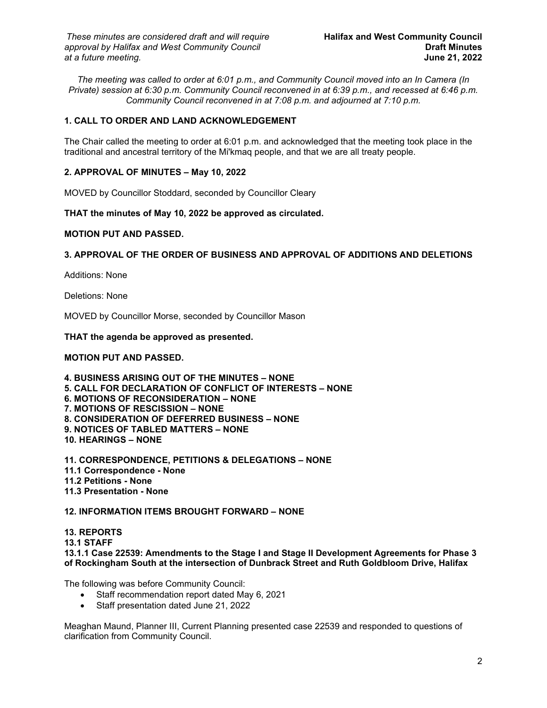*The meeting was called to order at 6:01 p.m., and Community Council moved into an In Camera (In Private) session at 6:30 p.m. Community Council reconvened in at 6:39 p.m., and recessed at 6:46 p.m. Community Council reconvened in at 7:08 p.m. and adjourned at 7:10 p.m.*

# **1. CALL TO ORDER AND LAND ACKNOWLEDGEMENT**

The Chair called the meeting to order at 6:01 p.m. and acknowledged that the meeting took place in the traditional and ancestral territory of the Mi'kmaq people, and that we are all treaty people.

## **2. APPROVAL OF MINUTES – May 10, 2022**

MOVED by Councillor Stoddard, seconded by Councillor Cleary

**THAT the minutes of May 10, 2022 be approved as circulated.**

### **MOTION PUT AND PASSED.**

## **3. APPROVAL OF THE ORDER OF BUSINESS AND APPROVAL OF ADDITIONS AND DELETIONS**

Additions: None

Deletions: None

MOVED by Councillor Morse, seconded by Councillor Mason

### **THAT the agenda be approved as presented.**

#### **MOTION PUT AND PASSED.**

**4. BUSINESS ARISING OUT OF THE MINUTES – NONE 5. CALL FOR DECLARATION OF CONFLICT OF INTERESTS – NONE 6. MOTIONS OF RECONSIDERATION – NONE 7. MOTIONS OF RESCISSION – NONE 8. CONSIDERATION OF DEFERRED BUSINESS – NONE 9. NOTICES OF TABLED MATTERS – NONE 10. HEARINGS – NONE**

**11. CORRESPONDENCE, PETITIONS & DELEGATIONS – NONE 11.1 Correspondence - None 11.2 Petitions - None 11.3 Presentation - None**

## **12. INFORMATION ITEMS BROUGHT FORWARD – NONE**

**13. REPORTS 13.1 STAFF 13.1.1 Case 22539: Amendments to the Stage I and Stage II Development Agreements for Phase 3 of Rockingham South at the intersection of Dunbrack Street and Ruth Goldbloom Drive, Halifax**

The following was before Community Council:

- Staff recommendation report dated May 6, 2021
- Staff presentation dated June 21, 2022

Meaghan Maund, Planner III, Current Planning presented case 22539 and responded to questions of clarification from Community Council.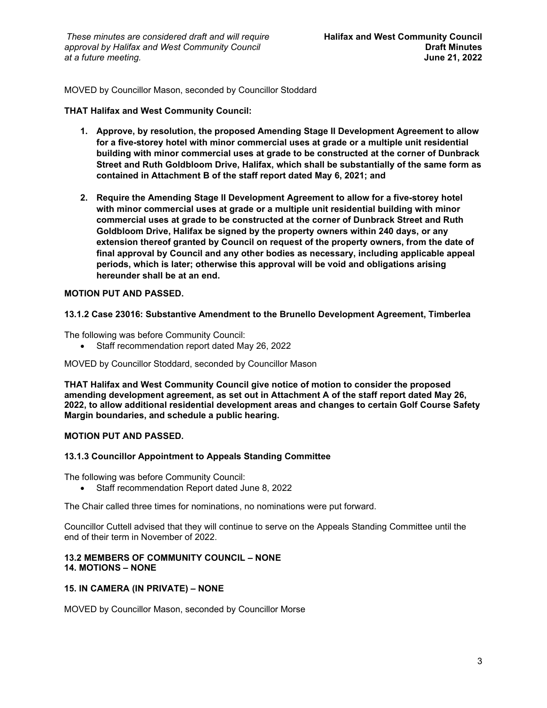*These minutes are considered draft and will require* **Halifax and West Community Council** *approval by Halifax and West Community Council* **Draft Minutes**  $at$  a future meeting.

MOVED by Councillor Mason, seconded by Councillor Stoddard

#### **THAT Halifax and West Community Council:**

- **1. Approve, by resolution, the proposed Amending Stage II Development Agreement to allow for a five-storey hotel with minor commercial uses at grade or a multiple unit residential building with minor commercial uses at grade to be constructed at the corner of Dunbrack Street and Ruth Goldbloom Drive, Halifax, which shall be substantially of the same form as contained in Attachment B of the staff report dated May 6, 2021; and**
- **2. Require the Amending Stage II Development Agreement to allow for a five-storey hotel with minor commercial uses at grade or a multiple unit residential building with minor commercial uses at grade to be constructed at the corner of Dunbrack Street and Ruth Goldbloom Drive, Halifax be signed by the property owners within 240 days, or any extension thereof granted by Council on request of the property owners, from the date of final approval by Council and any other bodies as necessary, including applicable appeal periods, which is later; otherwise this approval will be void and obligations arising hereunder shall be at an end.**

### **MOTION PUT AND PASSED.**

### **13.1.2 Case 23016: Substantive Amendment to the Brunello Development Agreement, Timberlea**

The following was before Community Council:

• Staff recommendation report dated May 26, 2022

MOVED by Councillor Stoddard, seconded by Councillor Mason

**THAT Halifax and West Community Council give notice of motion to consider the proposed amending development agreement, as set out in Attachment A of the staff report dated May 26, 2022, to allow additional residential development areas and changes to certain Golf Course Safety Margin boundaries, and schedule a public hearing.**

#### **MOTION PUT AND PASSED.**

### **13.1.3 Councillor Appointment to Appeals Standing Committee**

The following was before Community Council:

• Staff recommendation Report dated June 8, 2022

The Chair called three times for nominations, no nominations were put forward.

Councillor Cuttell advised that they will continue to serve on the Appeals Standing Committee until the end of their term in November of 2022.

### **13.2 MEMBERS OF COMMUNITY COUNCIL – NONE 14. MOTIONS – NONE**

#### **15. IN CAMERA (IN PRIVATE) – NONE**

MOVED by Councillor Mason, seconded by Councillor Morse